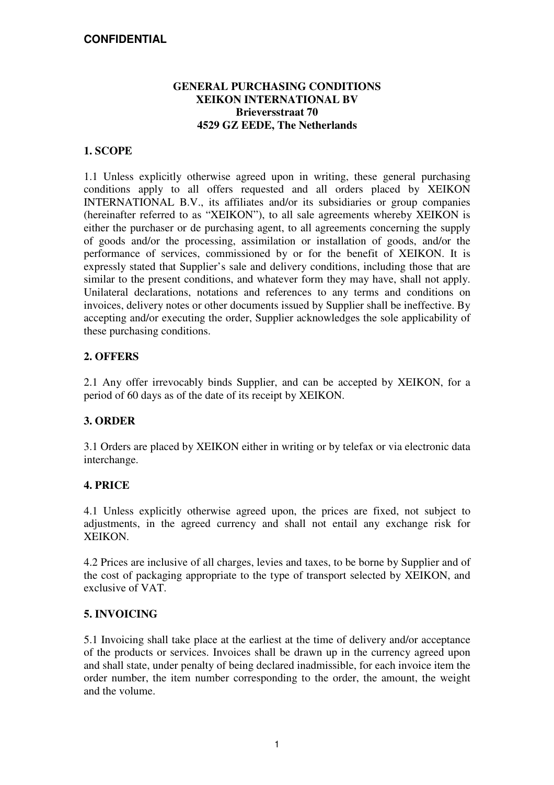#### **GENERAL PURCHASING CONDITIONS XEIKON INTERNATIONAL BV Brieversstraat 70 4529 GZ EEDE, The Netherlands**

#### **1. SCOPE**

1.1 Unless explicitly otherwise agreed upon in writing, these general purchasing conditions apply to all offers requested and all orders placed by XEIKON INTERNATIONAL B.V., its affiliates and/or its subsidiaries or group companies (hereinafter referred to as "XEIKON"), to all sale agreements whereby XEIKON is either the purchaser or de purchasing agent, to all agreements concerning the supply of goods and/or the processing, assimilation or installation of goods, and/or the performance of services, commissioned by or for the benefit of XEIKON. It is expressly stated that Supplier's sale and delivery conditions, including those that are similar to the present conditions, and whatever form they may have, shall not apply. Unilateral declarations, notations and references to any terms and conditions on invoices, delivery notes or other documents issued by Supplier shall be ineffective. By accepting and/or executing the order, Supplier acknowledges the sole applicability of these purchasing conditions.

#### **2. OFFERS**

2.1 Any offer irrevocably binds Supplier, and can be accepted by XEIKON, for a period of 60 days as of the date of its receipt by XEIKON.

#### **3. ORDER**

3.1 Orders are placed by XEIKON either in writing or by telefax or via electronic data interchange.

#### **4. PRICE**

4.1 Unless explicitly otherwise agreed upon, the prices are fixed, not subject to adjustments, in the agreed currency and shall not entail any exchange risk for XEIKON.

4.2 Prices are inclusive of all charges, levies and taxes, to be borne by Supplier and of the cost of packaging appropriate to the type of transport selected by XEIKON, and exclusive of VAT.

#### **5. INVOICING**

5.1 Invoicing shall take place at the earliest at the time of delivery and/or acceptance of the products or services. Invoices shall be drawn up in the currency agreed upon and shall state, under penalty of being declared inadmissible, for each invoice item the order number, the item number corresponding to the order, the amount, the weight and the volume.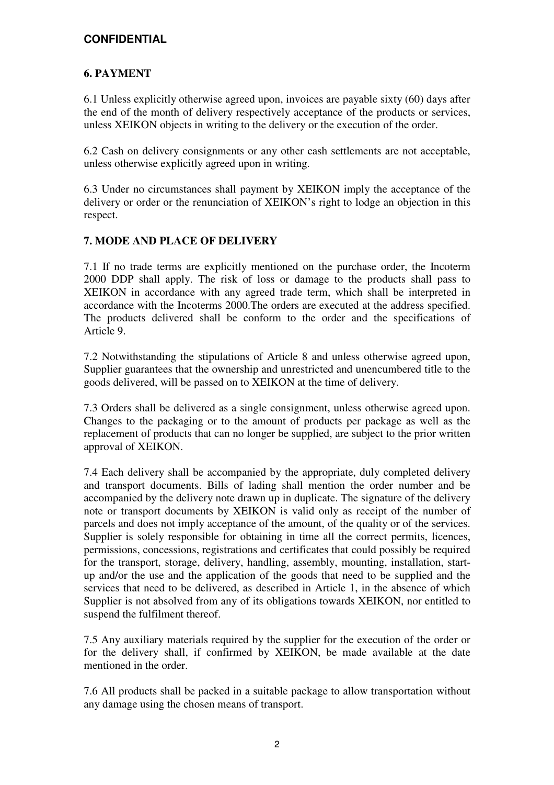## **6. PAYMENT**

6.1 Unless explicitly otherwise agreed upon, invoices are payable sixty (60) days after the end of the month of delivery respectively acceptance of the products or services, unless XEIKON objects in writing to the delivery or the execution of the order.

6.2 Cash on delivery consignments or any other cash settlements are not acceptable, unless otherwise explicitly agreed upon in writing.

6.3 Under no circumstances shall payment by XEIKON imply the acceptance of the delivery or order or the renunciation of XEIKON's right to lodge an objection in this respect.

#### **7. MODE AND PLACE OF DELIVERY**

7.1 If no trade terms are explicitly mentioned on the purchase order, the Incoterm 2000 DDP shall apply. The risk of loss or damage to the products shall pass to XEIKON in accordance with any agreed trade term, which shall be interpreted in accordance with the Incoterms 2000.The orders are executed at the address specified. The products delivered shall be conform to the order and the specifications of Article 9.

7.2 Notwithstanding the stipulations of Article 8 and unless otherwise agreed upon, Supplier guarantees that the ownership and unrestricted and unencumbered title to the goods delivered, will be passed on to XEIKON at the time of delivery.

7.3 Orders shall be delivered as a single consignment, unless otherwise agreed upon. Changes to the packaging or to the amount of products per package as well as the replacement of products that can no longer be supplied, are subject to the prior written approval of XEIKON.

7.4 Each delivery shall be accompanied by the appropriate, duly completed delivery and transport documents. Bills of lading shall mention the order number and be accompanied by the delivery note drawn up in duplicate. The signature of the delivery note or transport documents by XEIKON is valid only as receipt of the number of parcels and does not imply acceptance of the amount, of the quality or of the services. Supplier is solely responsible for obtaining in time all the correct permits, licences, permissions, concessions, registrations and certificates that could possibly be required for the transport, storage, delivery, handling, assembly, mounting, installation, startup and/or the use and the application of the goods that need to be supplied and the services that need to be delivered, as described in Article 1, in the absence of which Supplier is not absolved from any of its obligations towards XEIKON, nor entitled to suspend the fulfilment thereof.

7.5 Any auxiliary materials required by the supplier for the execution of the order or for the delivery shall, if confirmed by XEIKON, be made available at the date mentioned in the order.

7.6 All products shall be packed in a suitable package to allow transportation without any damage using the chosen means of transport.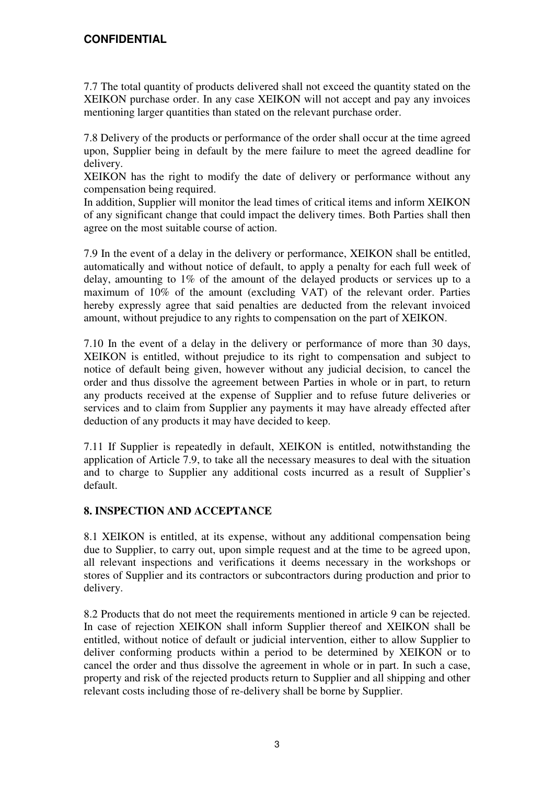7.7 The total quantity of products delivered shall not exceed the quantity stated on the XEIKON purchase order. In any case XEIKON will not accept and pay any invoices mentioning larger quantities than stated on the relevant purchase order.

7.8 Delivery of the products or performance of the order shall occur at the time agreed upon, Supplier being in default by the mere failure to meet the agreed deadline for delivery.

XEIKON has the right to modify the date of delivery or performance without any compensation being required.

In addition, Supplier will monitor the lead times of critical items and inform XEIKON of any significant change that could impact the delivery times. Both Parties shall then agree on the most suitable course of action.

7.9 In the event of a delay in the delivery or performance, XEIKON shall be entitled, automatically and without notice of default, to apply a penalty for each full week of delay, amounting to 1% of the amount of the delayed products or services up to a maximum of 10% of the amount (excluding VAT) of the relevant order. Parties hereby expressly agree that said penalties are deducted from the relevant invoiced amount, without prejudice to any rights to compensation on the part of XEIKON.

7.10 In the event of a delay in the delivery or performance of more than 30 days, XEIKON is entitled, without prejudice to its right to compensation and subject to notice of default being given, however without any judicial decision, to cancel the order and thus dissolve the agreement between Parties in whole or in part, to return any products received at the expense of Supplier and to refuse future deliveries or services and to claim from Supplier any payments it may have already effected after deduction of any products it may have decided to keep.

7.11 If Supplier is repeatedly in default, XEIKON is entitled, notwithstanding the application of Article 7.9, to take all the necessary measures to deal with the situation and to charge to Supplier any additional costs incurred as a result of Supplier's default.

#### **8. INSPECTION AND ACCEPTANCE**

8.1 XEIKON is entitled, at its expense, without any additional compensation being due to Supplier, to carry out, upon simple request and at the time to be agreed upon, all relevant inspections and verifications it deems necessary in the workshops or stores of Supplier and its contractors or subcontractors during production and prior to delivery.

8.2 Products that do not meet the requirements mentioned in article 9 can be rejected. In case of rejection XEIKON shall inform Supplier thereof and XEIKON shall be entitled, without notice of default or judicial intervention, either to allow Supplier to deliver conforming products within a period to be determined by XEIKON or to cancel the order and thus dissolve the agreement in whole or in part. In such a case, property and risk of the rejected products return to Supplier and all shipping and other relevant costs including those of re-delivery shall be borne by Supplier.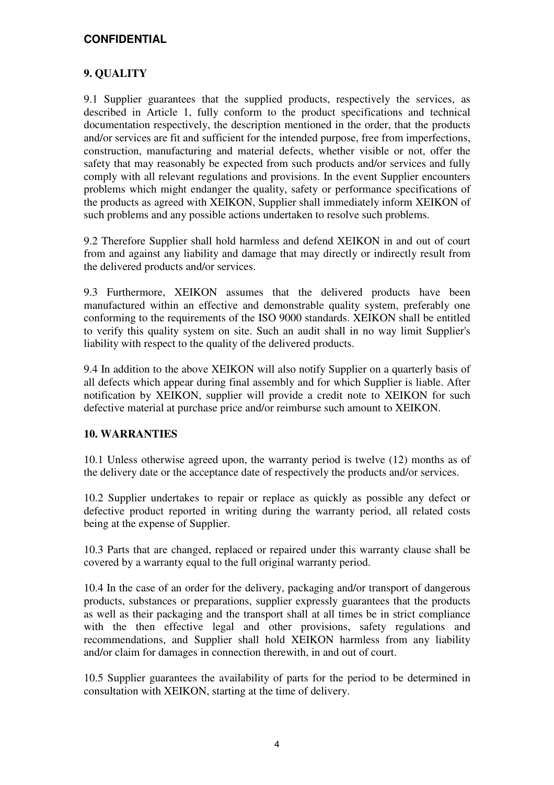### **9. QUALITY**

9.1 Supplier guarantees that the supplied products, respectively the services, as described in Article 1, fully conform to the product specifications and technical documentation respectively, the description mentioned in the order, that the products and/or services are fit and sufficient for the intended purpose, free from imperfections, construction, manufacturing and material defects, whether visible or not, offer the safety that may reasonably be expected from such products and/or services and fully comply with all relevant regulations and provisions. In the event Supplier encounters problems which might endanger the quality, safety or performance specifications of the products as agreed with XEIKON, Supplier shall immediately inform XEIKON of such problems and any possible actions undertaken to resolve such problems.

9.2 Therefore Supplier shall hold harmless and defend XEIKON in and out of court from and against any liability and damage that may directly or indirectly result from the delivered products and/or services.

9.3 Furthermore, XEIKON assumes that the delivered products have been manufactured within an effective and demonstrable quality system, preferably one conforming to the requirements of the ISO 9000 standards. XEIKON shall be entitled to verify this quality system on site. Such an audit shall in no way limit Supplier's liability with respect to the quality of the delivered products.

9.4 In addition to the above XEIKON will also notify Supplier on a quarterly basis of all defects which appear during final assembly and for which Supplier is liable. After notification by XEIKON, supplier will provide a credit note to XEIKON for such defective material at purchase price and/or reimburse such amount to XEIKON.

#### **10. WARRANTIES**

10.1 Unless otherwise agreed upon, the warranty period is twelve (12) months as of the delivery date or the acceptance date of respectively the products and/or services.

10.2 Supplier undertakes to repair or replace as quickly as possible any defect or defective product reported in writing during the warranty period, all related costs being at the expense of Supplier.

10.3 Parts that are changed, replaced or repaired under this warranty clause shall be covered by a warranty equal to the full original warranty period.

10.4 In the case of an order for the delivery, packaging and/or transport of dangerous products, substances or preparations, supplier expressly guarantees that the products as well as their packaging and the transport shall at all times be in strict compliance with the then effective legal and other provisions, safety regulations and recommendations, and Supplier shall hold XEIKON harmless from any liability and/or claim for damages in connection therewith, in and out of court.

10.5 Supplier guarantees the availability of parts for the period to be determined in consultation with XEIKON, starting at the time of delivery.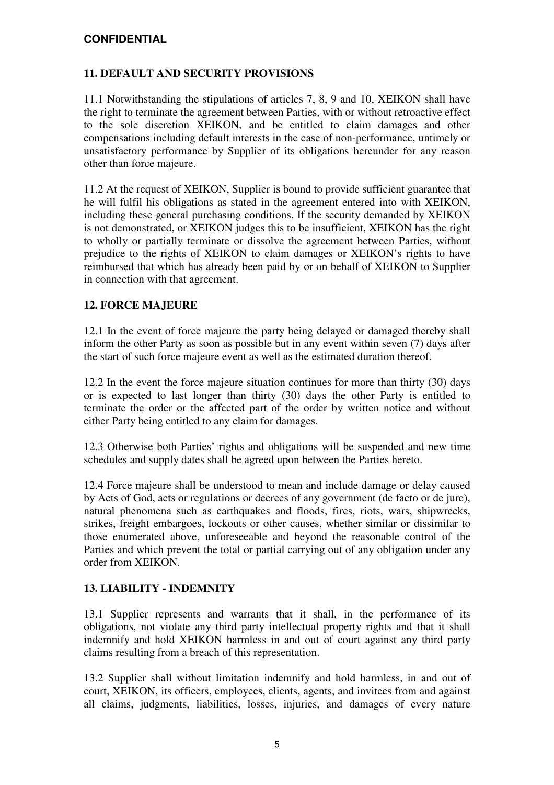#### **11. DEFAULT AND SECURITY PROVISIONS**

11.1 Notwithstanding the stipulations of articles 7, 8, 9 and 10, XEIKON shall have the right to terminate the agreement between Parties, with or without retroactive effect to the sole discretion XEIKON, and be entitled to claim damages and other compensations including default interests in the case of non-performance, untimely or unsatisfactory performance by Supplier of its obligations hereunder for any reason other than force majeure.

11.2 At the request of XEIKON, Supplier is bound to provide sufficient guarantee that he will fulfil his obligations as stated in the agreement entered into with XEIKON, including these general purchasing conditions. If the security demanded by XEIKON is not demonstrated, or XEIKON judges this to be insufficient, XEIKON has the right to wholly or partially terminate or dissolve the agreement between Parties, without prejudice to the rights of XEIKON to claim damages or XEIKON's rights to have reimbursed that which has already been paid by or on behalf of XEIKON to Supplier in connection with that agreement.

#### **12. FORCE MAJEURE**

12.1 In the event of force majeure the party being delayed or damaged thereby shall inform the other Party as soon as possible but in any event within seven (7) days after the start of such force majeure event as well as the estimated duration thereof.

12.2 In the event the force majeure situation continues for more than thirty (30) days or is expected to last longer than thirty (30) days the other Party is entitled to terminate the order or the affected part of the order by written notice and without either Party being entitled to any claim for damages.

12.3 Otherwise both Parties' rights and obligations will be suspended and new time schedules and supply dates shall be agreed upon between the Parties hereto.

12.4 Force majeure shall be understood to mean and include damage or delay caused by Acts of God, acts or regulations or decrees of any government (de facto or de jure), natural phenomena such as earthquakes and floods, fires, riots, wars, shipwrecks, strikes, freight embargoes, lockouts or other causes, whether similar or dissimilar to those enumerated above, unforeseeable and beyond the reasonable control of the Parties and which prevent the total or partial carrying out of any obligation under any order from XEIKON.

#### **13. LIABILITY - INDEMNITY**

13.1 Supplier represents and warrants that it shall, in the performance of its obligations, not violate any third party intellectual property rights and that it shall indemnify and hold XEIKON harmless in and out of court against any third party claims resulting from a breach of this representation.

13.2 Supplier shall without limitation indemnify and hold harmless, in and out of court, XEIKON, its officers, employees, clients, agents, and invitees from and against all claims, judgments, liabilities, losses, injuries, and damages of every nature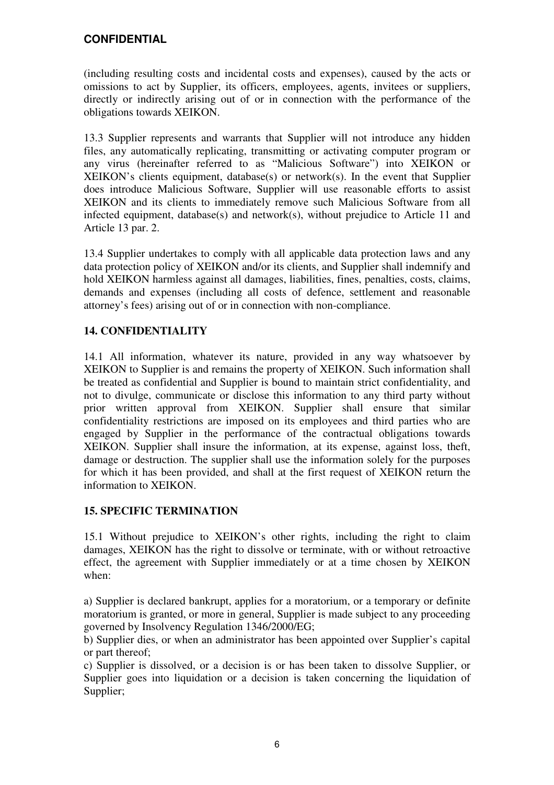(including resulting costs and incidental costs and expenses), caused by the acts or omissions to act by Supplier, its officers, employees, agents, invitees or suppliers, directly or indirectly arising out of or in connection with the performance of the obligations towards XEIKON.

13.3 Supplier represents and warrants that Supplier will not introduce any hidden files, any automatically replicating, transmitting or activating computer program or any virus (hereinafter referred to as "Malicious Software") into XEIKON or XEIKON's clients equipment, database(s) or network(s). In the event that Supplier does introduce Malicious Software, Supplier will use reasonable efforts to assist XEIKON and its clients to immediately remove such Malicious Software from all infected equipment, database(s) and network(s), without prejudice to Article 11 and Article 13 par. 2.

13.4 Supplier undertakes to comply with all applicable data protection laws and any data protection policy of XEIKON and/or its clients, and Supplier shall indemnify and hold XEIKON harmless against all damages, liabilities, fines, penalties, costs, claims, demands and expenses (including all costs of defence, settlement and reasonable attorney's fees) arising out of or in connection with non-compliance.

## **14. CONFIDENTIALITY**

14.1 All information, whatever its nature, provided in any way whatsoever by XEIKON to Supplier is and remains the property of XEIKON. Such information shall be treated as confidential and Supplier is bound to maintain strict confidentiality, and not to divulge, communicate or disclose this information to any third party without prior written approval from XEIKON. Supplier shall ensure that similar confidentiality restrictions are imposed on its employees and third parties who are engaged by Supplier in the performance of the contractual obligations towards XEIKON. Supplier shall insure the information, at its expense, against loss, theft, damage or destruction. The supplier shall use the information solely for the purposes for which it has been provided, and shall at the first request of XEIKON return the information to XEIKON.

#### **15. SPECIFIC TERMINATION**

15.1 Without prejudice to XEIKON's other rights, including the right to claim damages, XEIKON has the right to dissolve or terminate, with or without retroactive effect, the agreement with Supplier immediately or at a time chosen by XEIKON when:

a) Supplier is declared bankrupt, applies for a moratorium, or a temporary or definite moratorium is granted, or more in general, Supplier is made subject to any proceeding governed by Insolvency Regulation 1346/2000/EG;

b) Supplier dies, or when an administrator has been appointed over Supplier's capital or part thereof;

c) Supplier is dissolved, or a decision is or has been taken to dissolve Supplier, or Supplier goes into liquidation or a decision is taken concerning the liquidation of Supplier;